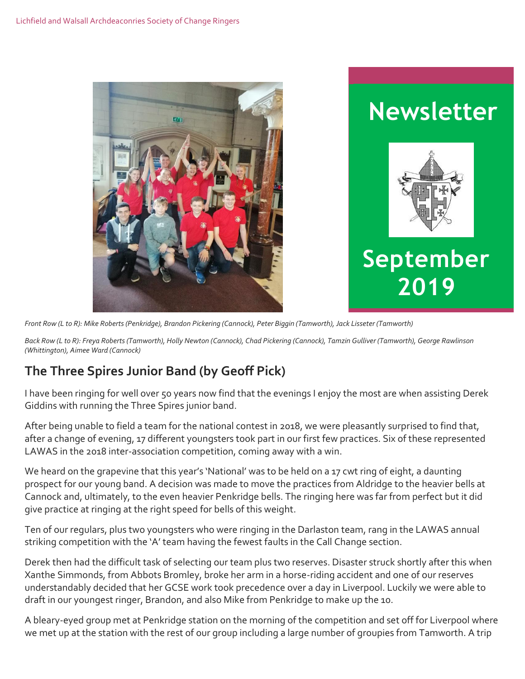



*Front Row (L to R): Mike Roberts (Penkridge), Brandon Pickering (Cannock), Peter Biggin (Tamworth), Jack Lisseter (Tamworth)*

*Back Row (L to R): Freya Roberts (Tamworth), Holly Newton (Cannock), Chad Pickering (Cannock), Tamzin Gulliver (Tamworth), George Rawlinson (Whittington), Aimee Ward (Cannock)*

# **The Three Spires Junior Band (by Geoff Pick)**

I have been ringing for well over 50 years now find that the evenings I enjoy the most are when assisting Derek Giddins with running the Three Spires junior band.

After being unable to field a team for the national contest in 2018, we were pleasantly surprised to find that, after a change of evening, 17 different youngsters took part in our first few practices. Six of these represented LAWAS in the 2018 inter-association competition, coming away with a win.

We heard on the grapevine that this year's 'National' was to be held on a 17 cwt ring of eight, a daunting prospect for our young band. A decision was made to move the practices from Aldridge to the heavier bells at Cannock and, ultimately, to the even heavier Penkridge bells. The ringing here was far from perfect but it did give practice at ringing at the right speed for bells of this weight.

Ten of our regulars, plus two youngsters who were ringing in the Darlaston team, rang in the LAWAS annual striking competition with the 'A' team having the fewest faults in the Call Change section.

Derek then had the difficult task of selecting our team plus two reserves. Disaster struck shortly after this when Xanthe Simmonds, from Abbots Bromley, broke her arm in a horse-riding accident and one of our reserves understandably decided that her GCSE work took precedence over a day in Liverpool. Luckily we were able to draft in our youngest ringer, Brandon, and also Mike from Penkridge to make up the 10.

A bleary-eyed group met at Penkridge station on the morning of the competition and set off for Liverpool where we met up at the station with the rest of our group including a large number of groupies from Tamworth. A trip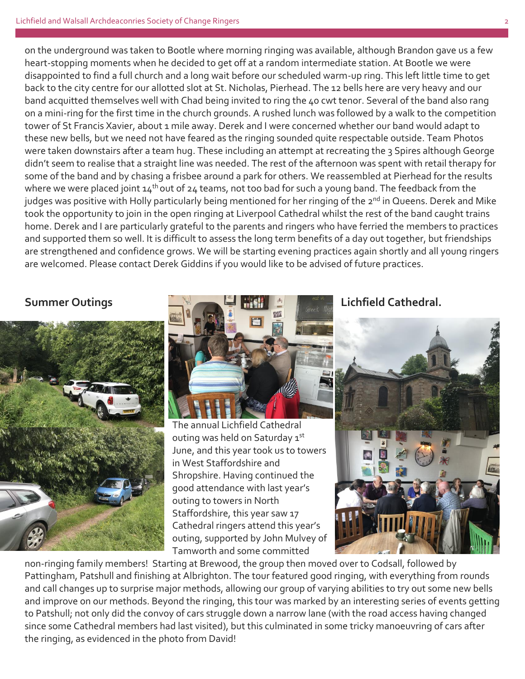on the underground was taken to Bootle where morning ringing was available, although Brandon gave us a few heart-stopping moments when he decided to get off at a random intermediate station. At Bootle we were disappointed to find a full church and a long wait before our scheduled warm-up ring. This left little time to get back to the city centre for our allotted slot at St. Nicholas, Pierhead. The 12 bells here are very heavy and our band acquitted themselves well with Chad being invited to ring the 40 cwt tenor. Several of the band also rang on a mini-ring for the first time in the church grounds. A rushed lunch was followed by a walk to the competition tower of St Francis Xavier, about 1 mile away. Derek and I were concerned whether our band would adapt to these new bells, but we need not have feared as the ringing sounded quite respectable outside. Team Photos were taken downstairs after a team hug. These including an attempt at recreating the 3 Spires although George didn't seem to realise that a straight line was needed. The rest of the afternoon was spent with retail therapy for some of the band and by chasing a frisbee around a park for others. We reassembled at Pierhead for the results where we were placed joint  $14^{th}$  out of 24 teams, not too bad for such a young band. The feedback from the judges was positive with Holly particularly being mentioned for her ringing of the 2<sup>nd</sup> in Queens. Derek and Mike took the opportunity to join in the open ringing at Liverpool Cathedral whilst the rest of the band caught trains home. Derek and I are particularly grateful to the parents and ringers who have ferried the members to practices and supported them so well. It is difficult to assess the long term benefits of a day out together, but friendships are strengthened and confidence grows. We will be starting evening practices again shortly and all young ringers are welcomed. Please contact Derek Giddins if you would like to be advised of future practices.





The annual Lichfield Cathedral outing was held on Saturday 1st June, and this year took us to towers in West Staffordshire and Shropshire. Having continued the good attendance with last year's outing to towers in North Staffordshire, this year saw 17 Cathedral ringers attend this year's outing, supported by John Mulvey of Tamworth and some committed



non-ringing family members! Starting at Brewood, the group then moved over to Codsall, followed by Pattingham, Patshull and finishing at Albrighton. The tour featured good ringing, with everything from rounds and call changes up to surprise major methods, allowing our group of varying abilities to try out some new bells and improve on our methods. Beyond the ringing, this tour was marked by an interesting series of events getting to Patshull; not only did the convoy of cars struggle down a narrow lane (with the road access having changed since some Cathedral members had last visited), but this culminated in some tricky manoeuvring of cars after the ringing, as evidenced in the photo from David!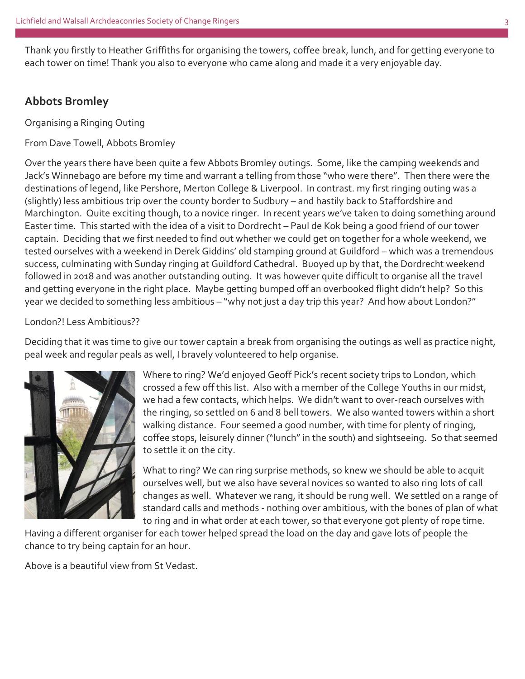Thank you firstly to Heather Griffiths for organising the towers, coffee break, lunch, and for getting everyone to each tower on time! Thank you also to everyone who came along and made it a very enjoyable day.

#### **Abbots Bromley**

Organising a Ringing Outing

From Dave Towell, Abbots Bromley

Over the years there have been quite a few Abbots Bromley outings. Some, like the camping weekends and Jack's Winnebago are before my time and warrant a telling from those "who were there". Then there were the destinations of legend, like Pershore, Merton College & Liverpool. In contrast. my first ringing outing was a (slightly) less ambitious trip over the county border to Sudbury – and hastily back to Staffordshire and Marchington. Quite exciting though, to a novice ringer. In recent years we've taken to doing something around Easter time. This started with the idea of a visit to Dordrecht – Paul de Kok being a good friend of our tower captain. Deciding that we first needed to find out whether we could get on together for a whole weekend, we tested ourselves with a weekend in Derek Giddins' old stamping ground at Guildford – which was a tremendous success, culminating with Sunday ringing at Guildford Cathedral. Buoyed up by that, the Dordrecht weekend followed in 2018 and was another outstanding outing. It was however quite difficult to organise all the travel and getting everyone in the right place. Maybe getting bumped off an overbooked flight didn't help? So this year we decided to something less ambitious – "why not just a day trip this year? And how about London?"

#### London?! Less Ambitious??

Deciding that it was time to give our tower captain a break from organising the outings as well as practice night, peal week and regular peals as well, I bravely volunteered to help organise.



Where to ring? We'd enjoyed Geoff Pick's recent society trips to London, which crossed a few off this list. Also with a member of the College Youths in our midst, we had a few contacts, which helps. We didn't want to over-reach ourselves with the ringing, so settled on 6 and 8 bell towers. We also wanted towers within a short walking distance. Four seemed a good number, with time for plenty of ringing, coffee stops, leisurely dinner ("lunch" in the south) and sightseeing. So that seemed to settle it on the city.

What to ring? We can ring surprise methods, so knew we should be able to acquit ourselves well, but we also have several novices so wanted to also ring lots of call changes as well. Whatever we rang, it should be rung well. We settled on a range of standard calls and methods - nothing over ambitious, with the bones of plan of what to ring and in what order at each tower, so that everyone got plenty of rope time.

Having a different organiser for each tower helped spread the load on the day and gave lots of people the chance to try being captain for an hour.

Above is a beautiful view from St Vedast.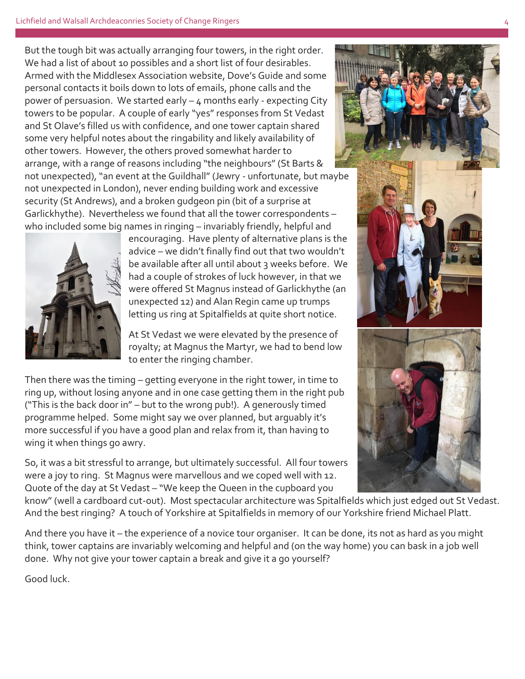But the tough bit was actually arranging four towers, in the right order. We had a list of about 10 possibles and a short list of four desirables. Armed with the Middlesex Association website, Dove's Guide and some personal contacts it boils down to lots of emails, phone calls and the power of persuasion. We started early – 4 months early - expecting City towers to be popular. A couple of early "yes" responses from St Vedast and St Olave's filled us with confidence, and one tower captain shared some very helpful notes about the ringability and likely availability of other towers. However, the others proved somewhat harder to arrange, with a range of reasons including "the neighbours" (St Barts & not unexpected), "an event at the Guildhall" (Jewry - unfortunate, but maybe not unexpected in London), never ending building work and excessive security (St Andrews), and a broken gudgeon pin (bit of a surprise at Garlickhythe). Nevertheless we found that all the tower correspondents – who included some big names in ringing – invariably friendly, helpful and



encouraging. Have plenty of alternative plans is the advice – we didn't finally find out that two wouldn't be available after all until about 3 weeks before. We had a couple of strokes of luck however, in that we were offered St Magnus instead of Garlickhythe (an unexpected 12) and Alan Regin came up trumps letting us ring at Spitalfields at quite short notice.

At St Vedast we were elevated by the presence of royalty; at Magnus the Martyr, we had to bend low to enter the ringing chamber.

Then there was the timing – getting everyone in the right tower, in time to ring up, without losing anyone and in one case getting them in the right pub ("This is the back door in" – but to the wrong pub!). A generously timed programme helped. Some might say we over planned, but arguably it's more successful if you have a good plan and relax from it, than having to wing it when things go awry.

So, it was a bit stressful to arrange, but ultimately successful. All four towers were a joy to ring. St Magnus were marvellous and we coped well with 12. Quote of the day at St Vedast – "We keep the Queen in the cupboard you



know" (well a cardboard cut-out). Most spectacular architecture was Spitalfields which just edged out St Vedast. And the best ringing? A touch of Yorkshire at Spitalfields in memory of our Yorkshire friend Michael Platt.

And there you have it – the experience of a novice tour organiser. It can be done, its not as hard as you might think, tower captains are invariably welcoming and helpful and (on the way home) you can bask in a job well done. Why not give your tower captain a break and give it a go yourself?

Good luck.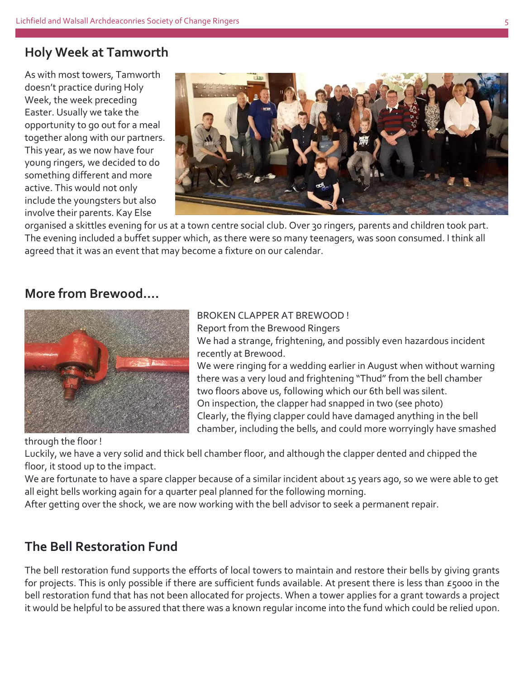### **Holy Week at Tamworth**

As with most towers, Tamworth doesn't practice during Holy Week, the week preceding Easter. Usually we take the opportunity to go out for a meal together along with our partners. This year, as we now have four young ringers, we decided to do something different and more active. This would not only include the youngsters but also involve their parents. Kay Else



organised a skittles evening for us at a town centre social club. Over 30 ringers, parents and children took part. The evening included a buffet supper which, as there were so many teenagers, was soon consumed. I think all agreed that it was an event that may become a fixture on our calendar.

### **More from Brewood….**



#### BROKEN CLAPPER AT BREWOOD !

Report from the Brewood Ringers We had a strange, frightening, and possibly even hazardous incident

recently at Brewood. We were ringing for a wedding earlier in August when without warning there was a very loud and frightening "Thud" from the bell chamber two floors above us, following which our 6th bell was silent. On inspection, the clapper had snapped in two (see photo) Clearly, the flying clapper could have damaged anything in the bell chamber, including the bells, and could more worryingly have smashed

through the floor !

Luckily, we have a very solid and thick bell chamber floor, and although the clapper dented and chipped the floor, it stood up to the impact.

We are fortunate to have a spare clapper because of a similar incident about 15 years ago, so we were able to get all eight bells working again for a quarter peal planned for the following morning.

After getting over the shock, we are now working with the bell advisor to seek a permanent repair.

## **The Bell Restoration Fund**

The bell restoration fund supports the efforts of local towers to maintain and restore their bells by giving grants for projects. This is only possible if there are sufficient funds available. At present there is less than £5000 in the bell restoration fund that has not been allocated for projects. When a tower applies for a grant towards a project it would be helpful to be assured that there was a known regular income into the fund which could be relied upon.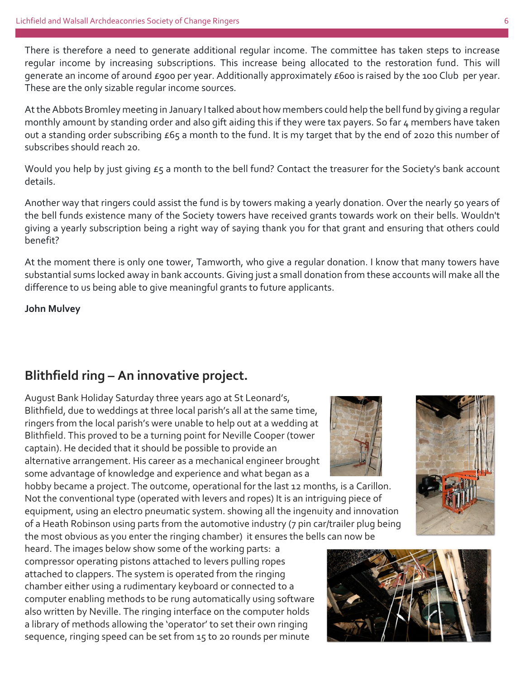There is therefore a need to generate additional regular income. The committee has taken steps to increase regular income by increasing subscriptions. This increase being allocated to the restoration fund. This will generate an income of around £900 per year. Additionally approximately £600 is raised by the 100 Club per year. These are the only sizable regular income sources.

At the Abbots Bromley meeting in January I talked about how members could help the bell fund by giving a regular monthly amount by standing order and also gift aiding this if they were tax payers. So far 4 members have taken out a standing order subscribing £65 a month to the fund. It is my target that by the end of 2020 this number of subscribes should reach 20.

Would you help by just giving  $\epsilon_5$  a month to the bell fund? Contact the treasurer for the Society's bank account details.

Another way that ringers could assist the fund is by towers making a yearly donation. Over the nearly 50 years of the bell funds existence many of the Society towers have received grants towards work on their bells. Wouldn't giving a yearly subscription being a right way of saying thank you for that grant and ensuring that others could benefit?

At the moment there is only one tower, Tamworth, who give a regular donation. I know that many towers have substantial sums locked away in bank accounts. Giving just a small donation from these accounts will make all the difference to us being able to give meaningful grants to future applicants.

**John Mulvey**

# **Blithfield ring – An innovative project.**

August Bank Holiday Saturday three years ago at St Leonard's, Blithfield, due to weddings at three local parish's all at the same time, ringers from the local parish's were unable to help out at a wedding at Blithfield. This proved to be a turning point for Neville Cooper (tower captain). He decided that it should be possible to provide an alternative arrangement. His career as a mechanical engineer brought some advantage of knowledge and experience and what began as a

hobby became a project. The outcome, operational for the last 12 months, is a Carillon. Not the conventional type (operated with levers and ropes) It is an intriguing piece of equipment, using an electro pneumatic system. showing all the ingenuity and innovation of a Heath Robinson using parts from the automotive industry (7 pin car/trailer plug being the most obvious as you enter the ringing chamber) it ensures the bells can now be

heard. The images below show some of the working parts: a compressor operating pistons attached to levers pulling ropes attached to clappers. The system is operated from the ringing chamber either using a rudimentary keyboard or connected to a computer enabling methods to be rung automatically using software also written by Neville. The ringing interface on the computer holds a library of methods allowing the 'operator' to set their own ringing sequence, ringing speed can be set from 15 to 20 rounds per minute





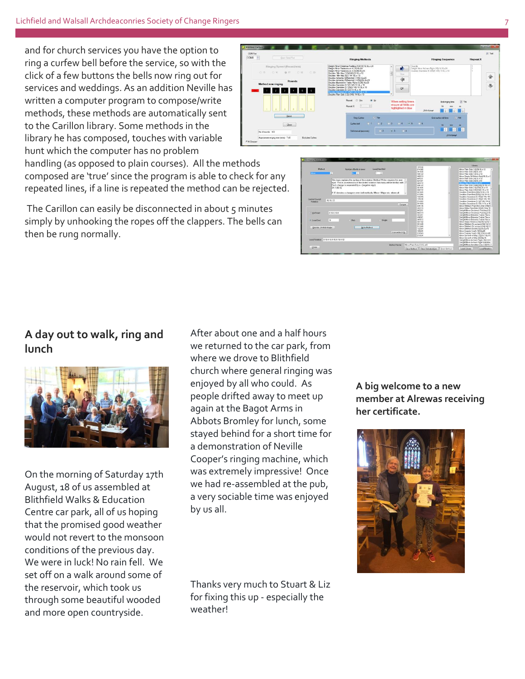and for church services you have the option to ring a curfew bell before the service, so with the click of a few buttons the bells now ring out for services and weddings. As an addition Neville has written a computer program to compose/write methods, these methods are automatically sent to the Carillon library. Some methods in the library he has composed, touches with variable hunt which the computer has no problem

handling (as opposed to plain courses). All the methods composed are 'true' since the program is able to check for any repeated lines, if a line is repeated the method can be rejected.

The Carillon can easily be disconnected in about 5 minutes simply by unhooking the ropes off the clappers. The bells can then be rung normally.

## **A day out to walk, ring and lunch**



On the morning of Saturday 17th August, 18 of us assembled at Blithfield Walks & Education Centre car park, all of us hoping that the promised good weather would not revert to the monsoon conditions of the previous day. We were in luck! No rain fell. We set off on a walk around some of the reservoir, which took us through some beautiful wooded and more open countryside.

After about one and a half hours we returned to the car park, from where we drove to Blithfield church where general ringing was enjoyed by all who could. As people drifted away to meet up again at the Bagot Arms in Abbots Bromley for lunch, some stayed behind for a short time for a demonstration of Neville Cooper's ringing machine, which was extremely impressive! Once we had re-assembled at the pub, a very sociable time was enjoyed by us all.

Thanks very much to Stuart & Liz for fixing this up - especially the weather!

**A big welcome to a new member at Alrewas receiving her certificate.**